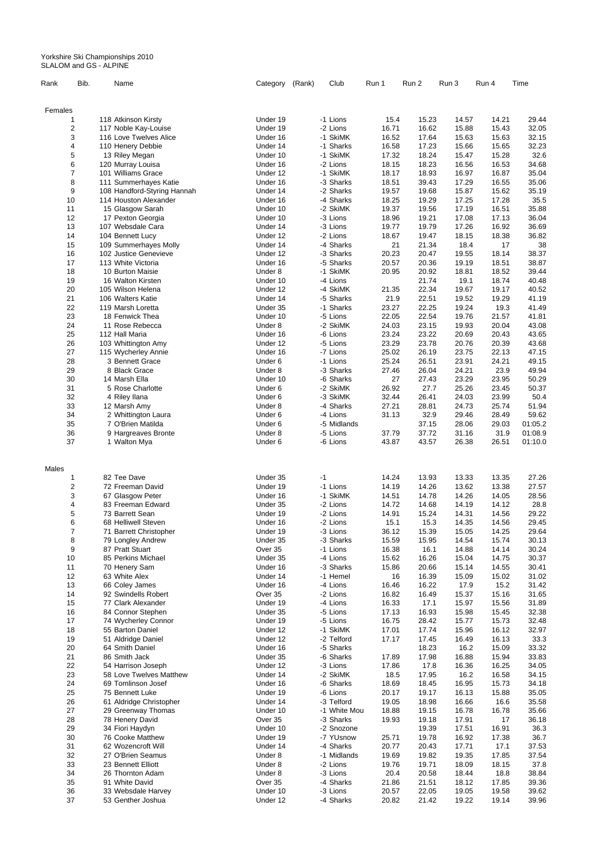Yorkshire Ski Championships 2010 SLALOM and GS - ALPINE

| Rank    | Bib.                    | Name                                                 | Category | (Rank) | Club        | Run 1 | Run 2 | Run 3 | Run 4 | Time    |
|---------|-------------------------|------------------------------------------------------|----------|--------|-------------|-------|-------|-------|-------|---------|
| Females |                         |                                                      |          |        |             |       |       |       |       |         |
|         |                         | 118 Atkinson Kirsty                                  | Under 19 |        | -1 Lions    | 15.4  | 15.23 | 14.57 | 14.21 | 29.44   |
|         | $\overline{\mathbf{c}}$ | 117 Noble Kay-Louise                                 | Under 19 |        | -2 Lions    | 16.71 | 16.62 | 15.88 | 15.43 | 32.05   |
|         | 3                       | 116 Love Twelves Alice                               | Under 16 |        | -1 SkiMK    | 16.52 | 17.64 | 15.63 | 15.63 | 32.15   |
|         | 4                       | 110 Henery Debbie                                    | Under 14 |        | -1 Sharks   | 16.58 | 17.23 | 15.66 | 15.65 | 32.23   |
|         | 5                       | 13 Riley Megan                                       | Under 10 |        | -1 SkiMK    | 17.32 | 18.24 | 15.47 | 15.28 | 32.6    |
|         | 6                       | 120 Murray Louisa                                    | Under 16 |        | -2 Lions    | 18.15 | 18.23 | 16.56 | 16.53 | 34.68   |
|         | 7                       | 101 Williams Grace                                   | Under 12 |        | -1 SkiMK    | 18.17 | 18.93 | 16.97 | 16.87 | 35.04   |
|         | 8                       | 111 Summerhayes Katie                                | Under 16 |        | -3 Sharks   | 18.51 | 39.43 | 17.29 | 16.55 | 35.06   |
|         | 9                       |                                                      | Under 14 |        | -2 Sharks   | 19.57 | 19.68 | 15.87 | 15.62 | 35.19   |
|         | 10                      | 108 Handford-Styring Hannah<br>114 Houston Alexander | Under 16 |        | -4 Sharks   | 18.25 | 19.29 | 17.25 | 17.28 | 35.5    |
|         |                         |                                                      |          |        |             |       |       |       |       |         |
|         | 11                      | 15 Glasgow Sarah                                     | Under 10 |        | -2 SkiMK    | 19.37 | 19.56 | 17.19 | 16.51 | 35.88   |
|         | 12                      | 17 Pexton Georgia                                    | Under 10 |        | -3 Lions    | 18.96 | 19.21 | 17.08 | 17.13 | 36.04   |
|         | 13                      | 107 Websdale Cara                                    | Under 14 |        | -3 Lions    | 19.77 | 19.79 | 17.26 | 16.92 | 36.69   |
|         | 14                      | 104 Bennett Lucy                                     | Under 12 |        | -2 Lions    | 18.67 | 19.47 | 18.15 | 18.38 | 36.82   |
|         | 15                      | 109 Summerhayes Molly                                | Under 14 |        | -4 Sharks   | 21    | 21.34 | 18.4  | 17    | 38      |
|         | 16                      | 102 Justice Genevieve                                | Under 12 |        | -3 Sharks   | 20.23 | 20.47 | 19.55 | 18.14 | 38.37   |
|         | 17                      | 113 White Victoria                                   | Under 16 |        | -5 Sharks   | 20.57 | 20.36 | 19.19 | 18.51 | 38.87   |
|         | 18                      | 10 Burton Maisie                                     | Under 8  |        | -1 SkiMK    | 20.95 | 20.92 | 18.81 | 18.52 | 39.44   |
|         | 19                      | 16 Walton Kirsten                                    | Under 10 |        | -4 Lions    |       | 21.74 | 19.1  | 18.74 | 40.48   |
|         | 20                      | 105 Wilson Helena                                    | Under 12 |        | -4 SkiMK    | 21.35 | 22.34 | 19.67 | 19.17 | 40.52   |
|         | 21                      | 106 Walters Katie                                    | Under 14 |        | -5 Sharks   | 21.9  | 22.51 | 19.52 | 19.29 | 41.19   |
|         | 22                      | 119 Marsh Loretta                                    | Under 35 |        | -1 Sharks   | 23.27 | 22.25 | 19.24 | 19.3  | 41.49   |
|         | 23                      | 18 Fenwick Thea                                      | Under 10 |        | -5 Lions    | 22.05 | 22.54 | 19.76 | 21.57 | 41.81   |
|         | 24                      | 11 Rose Rebecca                                      | Under 8  |        | -2 SkiMK    | 24.03 | 23.15 | 19.93 | 20.04 | 43.08   |
|         | 25                      | 112 Hall Maria                                       | Under 16 |        | -6 Lions    | 23.24 | 23.22 | 20.69 | 20.43 | 43.65   |
|         | 26                      | 103 Whittington Amy                                  | Under 12 |        | -5 Lions    | 23.29 | 23.78 | 20.76 | 20.39 | 43.68   |
|         | 27                      | 115 Wycherley Annie                                  | Under 16 |        | -7 Lions    | 25.02 | 26.19 | 23.75 | 22.13 | 47.15   |
|         | 28                      | 3 Bennett Grace                                      | Under 6  |        | -1 Lions    | 25.24 | 26.51 | 23.91 | 24.21 | 49.15   |
|         | 29                      | 8 Black Grace                                        | Under 8  |        | -3 Sharks   | 27.46 | 26.04 | 24.21 | 23.9  | 49.94   |
|         | 30                      | 14 Marsh Ella                                        | Under 10 |        | -6 Sharks   | 27    | 27.43 | 23.29 | 23.95 | 50.29   |
|         | 31                      | 5 Rose Charlotte                                     | Under 6  |        | -2 SkiMK    | 26.92 | 27.7  | 25.26 | 23.45 | 50.37   |
|         | 32                      | 4 Riley Ilana                                        | Under 6  |        | -3 SkiMK    | 32.44 | 26.41 | 24.03 | 23.99 | 50.4    |
|         | 33                      | 12 Marsh Amy                                         | Under 8  |        | -4 Sharks   | 27.21 | 28.81 | 24.73 | 25.74 | 51.94   |
|         | 34                      | 2 Whittington Laura                                  | Under 6  |        | -4 Lions    | 31.13 | 32.9  | 29.46 | 28.49 | 59.62   |
|         | 35                      | 7 O'Brien Matilda                                    | Under 6  |        | -5 Midlands |       | 37.15 | 28.06 | 29.03 | 01:05.2 |
|         | 36                      | 9 Hargreaves Bronte                                  | Under 8  |        | -5 Lions    | 37.79 | 37.72 | 31.16 | 31.9  | 01:08.9 |
|         | 37                      | 1 Walton Mya                                         | Under 6  |        | -6 Lions    | 43.87 | 43.57 | 26.38 | 26.51 | 01:10.0 |
| Males   |                         |                                                      |          |        |             |       |       |       |       |         |
|         | 1                       | 82 Tee Dave                                          | Under 35 |        | $-1$        | 14.24 | 13.93 | 13.33 | 13.35 | 27.26   |
|         | 2                       | 72 Freeman David                                     | Under 19 |        | -1 Lions    | 14.19 | 14.26 | 13.62 | 13.38 | 27.57   |
|         | 3                       | 67 Glasgow Peter                                     | Under 16 |        | -1 SkiMK    | 14.51 | 14.78 | 14.26 | 14.05 | 28.56   |
|         | 4                       | 83 Freeman Edward                                    | Under 35 |        | -2 Lions    | 14.72 | 14.68 | 14.19 | 14.12 | 28.8    |
|         | 5                       | 73 Barrett Sean                                      | Under 19 |        | -2 Lions    | 14.91 | 15.24 | 14.31 | 14.56 | 29.22   |
|         | 6                       | 68 Helliwell Steven                                  | Under 16 |        | -2 Lions    | 15.1  | 15.3  | 14.35 | 14.56 | 29.45   |
|         | $\overline{7}$          | 71 Barrett Christopher                               | Under 19 |        | -3 Lions    | 36.12 | 15.39 | 15.05 | 14.25 | 29.64   |
|         | 8                       | 79 Longley Andrew                                    | Under 35 |        | -3 Sharks   | 15.59 | 15.95 | 14.54 | 15.74 | 30.13   |
|         | 9                       | 87 Pratt Stuart                                      | Over 35  |        | -1 Lions    | 16.38 | 16.1  | 14.88 | 14.14 | 30.24   |
|         | 10                      | 85 Perkins Michael                                   | Under 35 |        | -4 Lions    | 15.62 | 16.26 | 15.04 | 14.75 | 30.37   |
|         | 11                      |                                                      | Under 16 |        | -3 Sharks   | 15.86 | 20.66 | 15.14 | 14.55 | 30.41   |
|         |                         | 70 Henery Sam                                        |          |        |             |       |       |       |       |         |
|         | 12                      | 63 White Alex                                        | Under 14 |        | -1 Hemel    | 16    | 16.39 | 15.09 | 15.02 | 31.02   |
|         | 13                      | 66 Coley James                                       | Under 16 |        | -4 Lions    | 16.46 | 16.22 | 17.9  | 15.2  | 31.42   |
|         | 14                      | 92 Swindells Robert                                  | Over 35  |        | -2 Lions    | 16.82 | 16.49 | 15.37 | 15.16 | 31.65   |
|         | 15                      | 77 Clark Alexander                                   | Under 19 |        | -4 Lions    | 16.33 | 17.1  | 15.97 | 15.56 | 31.89   |
|         | 16                      | 84 Connor Stephen                                    | Under 35 |        | -5 Lions    | 17.13 | 16.93 | 15.98 | 15.45 | 32.38   |
|         | 17                      | 74 Wycherley Connor                                  | Under 19 |        | -5 Lions    | 16.75 | 28.42 | 15.77 | 15.73 | 32.48   |
|         | 18                      | 55 Barton Daniel                                     | Under 12 |        | -1 SkiMK    | 17.01 | 17.74 | 15.96 | 16.12 | 32.97   |
|         | 19                      | 51 Aldridge Daniel                                   | Under 12 |        | -2 Telford  | 17.17 | 17.45 | 16.49 | 16.13 | 33.3    |

| 20 | 64 Smith Daniel         | Under 16 | -5 Sharks    |       | 18.23 | 16.2  | 15.09 | 33.32 |
|----|-------------------------|----------|--------------|-------|-------|-------|-------|-------|
| 21 | 86 Smith Jack           | Under 35 | -6 Sharks    | 17.89 | 17.98 | 16.88 | 15.94 | 33.83 |
| 22 | 54 Harrison Joseph      | Under 12 | -3 Lions     | 17.86 | 17.8  | 16.36 | 16.25 | 34.05 |
| 23 | 58 Love Twelves Matthew | Under 14 | -2 SkiMK     | 18.5  | 17.95 | 16.2  | 16.58 | 34.15 |
| 24 | 69 Tomlinson Josef      | Under 16 | -6 Sharks    | 18.69 | 18.45 | 16.95 | 15.73 | 34.18 |
| 25 | 75 Bennett Luke         | Under 19 | -6 Lions     | 20.17 | 19.17 | 16.13 | 15.88 | 35.05 |
| 26 | 61 Aldridge Christopher | Under 14 | -3 Telford   | 19.05 | 18.98 | 16.66 | 16.6  | 35.58 |
| 27 | 29 Greenway Thomas      | Under 10 | -1 White Mou | 18.88 | 19.15 | 16.78 | 16.78 | 35.66 |
| 28 | 78 Henery David         | Over 35  | -3 Sharks    | 19.93 | 19.18 | 17.91 | 17    | 36.18 |
| 29 | 34 Fiori Haydyn         | Under 10 | -2 Snozone   |       | 19.39 | 17.51 | 16.91 | 36.3  |
| 30 | 76 Cooke Matthew        | Under 19 | -7 YUsnow    | 25.71 | 19.78 | 16.92 | 17.38 | 36.7  |
| 31 | 62 Wozencroft Will      | Under 14 | -4 Sharks    | 20.77 | 20.43 | 17.71 | 17.1  | 37.53 |
| 32 | 27 O'Brien Seamus       | Under 8  | -1 Midlands  | 19.69 | 19.82 | 19.35 | 17.85 | 37.54 |
| 33 | 23 Bennett Elliott      | Under 8  | -2 Lions     | 19.76 | 19.71 | 18.09 | 18.15 | 37.8  |
| 34 | 26 Thornton Adam        | Under 8  | -3 Lions     | 20.4  | 20.58 | 18.44 | 18.8  | 38.84 |
| 35 | 91 White David          | Over 35  | -4 Sharks    | 21.86 | 21.51 | 18.12 | 17.85 | 39.36 |
| 36 | 33 Websdale Harvey      | Under 10 | -3 Lions     | 20.57 | 22.05 | 19.05 | 19.58 | 39.62 |
| 37 | 53 Genther Joshua       | Under 12 | -4 Sharks    | 20.82 | 21.42 | 19.22 | 19.14 | 39.96 |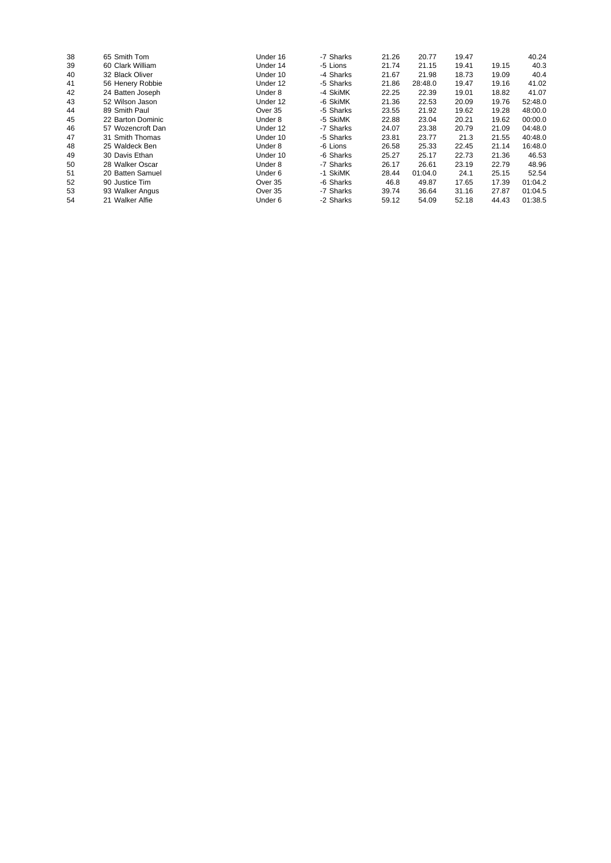| 38 | 65 Smith Tom      | Under 16 | -7 Sharks | 21.26 | 20.77   | 19.47 |       | 40.24   |
|----|-------------------|----------|-----------|-------|---------|-------|-------|---------|
| 39 | 60 Clark William  | Under 14 | -5 Lions  | 21.74 | 21.15   | 19.41 | 19.15 | 40.3    |
| 40 | 32 Black Oliver   | Under 10 | -4 Sharks | 21.67 | 21.98   | 18.73 | 19.09 | 40.4    |
| 41 | 56 Henery Robbie  | Under 12 | -5 Sharks | 21.86 | 28:48.0 | 19.47 | 19.16 | 41.02   |
| 42 | 24 Batten Joseph  | Under 8  | -4 SkiMK  | 22.25 | 22.39   | 19.01 | 18.82 | 41.07   |
| 43 | 52 Wilson Jason   | Under 12 | -6 SkiMK  | 21.36 | 22.53   | 20.09 | 19.76 | 52:48.0 |
| 44 | 89 Smith Paul     | Over 35  | -5 Sharks | 23.55 | 21.92   | 19.62 | 19.28 | 48:00.0 |
| 45 | 22 Barton Dominic | Under 8  | -5 SkiMK  | 22.88 | 23.04   | 20.21 | 19.62 | 00:00.0 |
| 46 | 57 Wozencroft Dan | Under 12 | -7 Sharks | 24.07 | 23.38   | 20.79 | 21.09 | 04:48.0 |
| 47 | 31 Smith Thomas   | Under 10 | -5 Sharks | 23.81 | 23.77   | 21.3  | 21.55 | 40:48.0 |
| 48 | 25 Waldeck Ben    | Under 8  | -6 Lions  | 26.58 | 25.33   | 22.45 | 21.14 | 16:48.0 |
| 49 | 30 Davis Ethan    | Under 10 | -6 Sharks | 25.27 | 25.17   | 22.73 | 21.36 | 46.53   |
| 50 | 28 Walker Oscar   | Under 8  | -7 Sharks | 26.17 | 26.61   | 23.19 | 22.79 | 48.96   |
| 51 | 20 Batten Samuel  | Under 6  | -1 SkiMK  | 28.44 | 01:04.0 | 24.1  | 25.15 | 52.54   |
| 52 | 90 Justice Tim    | Over 35  | -6 Sharks | 46.8  | 49.87   | 17.65 | 17.39 | 01:04.2 |
| 53 | 93 Walker Angus   | Over 35  | -7 Sharks | 39.74 | 36.64   | 31.16 | 27.87 | 01:04.5 |
| 54 | 21 Walker Alfie   | Under 6  | -2 Sharks | 59.12 | 54.09   | 52.18 | 44.43 | 01:38.5 |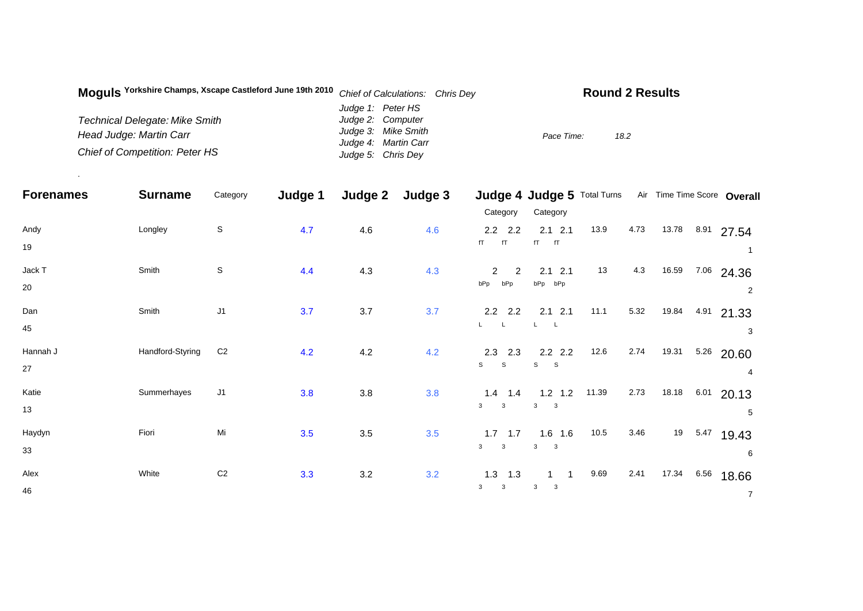| Moguls Yorkshire Champs, Xscape Castleford June 19th 2010 | Chief of Calculations: Chris Dey | <b>Round 2 Results</b> |
|-----------------------------------------------------------|----------------------------------|------------------------|
|                                                           | Judge 1: Peter HS                |                        |
| <b>Technical Delegate: Mike Smith</b>                     | Judge 2: Computer                |                        |
| Head Judge: Martin Carr                                   | Judge 3: Mike Smith              | Pace Time:<br>18.2     |
|                                                           | Judge 4: Martin Carr             |                        |
| Chief of Competition: Peter HS                            | Judge 5: Chris Dey               |                        |

.

| <b>Forenames</b> | <b>Surname</b>   | Category       | Judge 1 | Judge 2 | Judge 3 |                                                | Judge 4 Judge 5 Total Turns                           |       |      |            |      | Air Time Time Score Overall |
|------------------|------------------|----------------|---------|---------|---------|------------------------------------------------|-------------------------------------------------------|-------|------|------------|------|-----------------------------|
|                  |                  |                |         |         |         | Category                                       | Category                                              |       |      |            |      |                             |
| Andy<br>19       | Longley          | $\mathbb S$    | 4.7     | 4.6     | 4.6     | $2.2$ $2.2$<br>fT<br>fT                        | $2.1$ $2.1$<br>fT<br>fT                               | 13.9  | 4.73 | 13.78 8.91 |      | 27.54                       |
| Jack T<br>20     | Smith            | $\mathbb S$    | 4.4     | 4.3     | 4.3     | $\overline{2}$<br>$\overline{2}$<br>bPp<br>bPp | $2.1$ $2.1$<br>bPp bPp                                | 13    | 4.3  | 16.59      | 7.06 | 24.36<br>2                  |
| Dan<br>45        | Smith            | J <sub>1</sub> | 3.7     | 3.7     | 3.7     | $2.2$ 2.2<br>$L = L$                           | $2.1$ 2.1                                             | 11.1  | 5.32 | 19.84      | 4.91 | 21.33<br>3                  |
| Hannah J<br>27   | Handford-Styring | C <sub>2</sub> | 4.2     | 4.2     | 4.2     | $2.3$ 2.3<br>$\mathsf{s}$<br>S                 | $2.2$ 2.2<br>$\mathbf s$<br>$\mathbf S$               | 12.6  | 2.74 | 19.31      | 5.26 | 20.60<br>4                  |
| Katie<br>13      | Summerhayes      | J1             | 3.8     | 3.8     | 3.8     | $1.4$ 1.4<br>3<br>$\mathbf{3}$                 | $1.2$ 1.2<br>3<br>$\overline{\mathbf{3}}$             | 11.39 | 2.73 | 18.18      | 6.01 | 20.13<br>5                  |
| Haydyn<br>33     | Fiori            | Mi             | 3.5     | $3.5\,$ | 3.5     | $1.7$ 1.7<br>3<br>$\mathbf{3}$                 | $1.6$ 1.6<br>$\mathbf{3}$<br>$\overline{\phantom{a}}$ | 10.5  | 3.46 | 19         | 5.47 | 19.43<br>6                  |
| Alex<br>46       | White            | $\mbox{C2}$    | 3.3     | 3.2     | 3.2     | $1.3$ 1.3<br>$\mathbf{3}$<br>3                 | $\overline{\mathbf{3}}$<br>$\mathbf{3}$               | 9.69  | 2.41 | 17.34      | 6.56 | 18.66<br>$\overline{7}$     |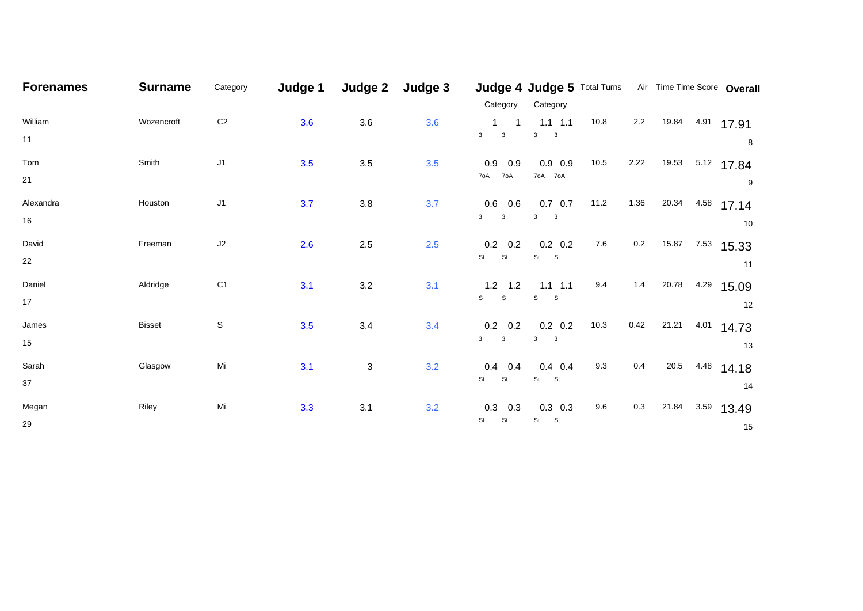| <b>Forenames</b> | <b>Surname</b> | Category       | Judge 1 | Judge 2                   | Judge 3 | Category                                              | Category                                      |      |         | Judge 4 Judge 5 Total Turns Air Time Time Score Overall |                   |
|------------------|----------------|----------------|---------|---------------------------|---------|-------------------------------------------------------|-----------------------------------------------|------|---------|---------------------------------------------------------|-------------------|
| William<br>11    | Wozencroft     | $\mbox{C2}$    | 3.6     | 3.6                       | 3.6     | 1<br>$\overline{1}$<br>3 <sup>1</sup><br>$\mathbf{3}$ | $1.1 \t1.1$<br>$3^3$ 3                        | 10.8 | 2.2     | 19.84                                                   | $4.91$ 17.91<br>8 |
| Tom<br>21        | Smith          | J1             | 3.5     | 3.5                       | 3.5     | $0.9$ 0.9<br>70A 70A                                  | $0.9$ 0.9<br>70A 70A                          | 10.5 | 2.22    | 19.53 5.12 17.84                                        | 9                 |
| Alexandra<br>16  | Houston        | J1             | 3.7     | 3.8                       | 3.7     | $0.6$ 0.6<br>3 <sup>1</sup><br>$\mathbf{3}$           | $0.7\quad 0.7$<br>$3^{\circ}$<br>$\mathbf{3}$ | 11.2 | 1.36    | 20.34<br>4.58                                           | 17.14<br>10       |
| David<br>22      | Freeman        | J2             | 2.6     | 2.5                       | 2.5     | $0.2\quad 0.2$<br>St<br>St                            | $0.2\ 0.2$<br>St St                           | 7.6  | $0.2\,$ | 15.87<br>7.53                                           | 15.33<br>11       |
| Daniel<br>17     | Aldridge       | C <sub>1</sub> | 3.1     | $3.2\,$                   | 3.1     | $1.2$ 1.2<br>S<br>${\tt S}$                           | $1.1$ 1.1<br>S<br><sub>S</sub>                | 9.4  | 1.4     | 20.78<br>4.29                                           | 15.09<br>12       |
| James<br>15      | <b>Bisset</b>  | $\mathbb S$    | 3.5     | 3.4                       | 3.4     | $0.2\quad 0.2$<br>3 <sup>1</sup><br>$\mathbf{3}$      | $0.2\ 0.2$<br>$3^{\circ}$<br>$\mathbf{3}$     | 10.3 | 0.42    | 21.21<br>4.01                                           | 14.73<br>13       |
| Sarah<br>37      | Glasgow        | Mi             | 3.1     | $\ensuremath{\mathsf{3}}$ | 3.2     | $0.4$ 0.4<br>St<br><b>St</b>                          | $0.4$ 0.4<br>St<br><b>St</b>                  | 9.3  | 0.4     | 20.5<br>4.48                                            | 14.18<br>14       |
| Megan<br>29      | Riley          | Mi             | 3.3     | 3.1                       | 3.2     | $0.3$ 0.3<br>St<br>St                                 | $0.3$ 0.3<br>St<br>St                         | 9.6  | $0.3\,$ | 21.84<br>3.59                                           | 13.49<br>15       |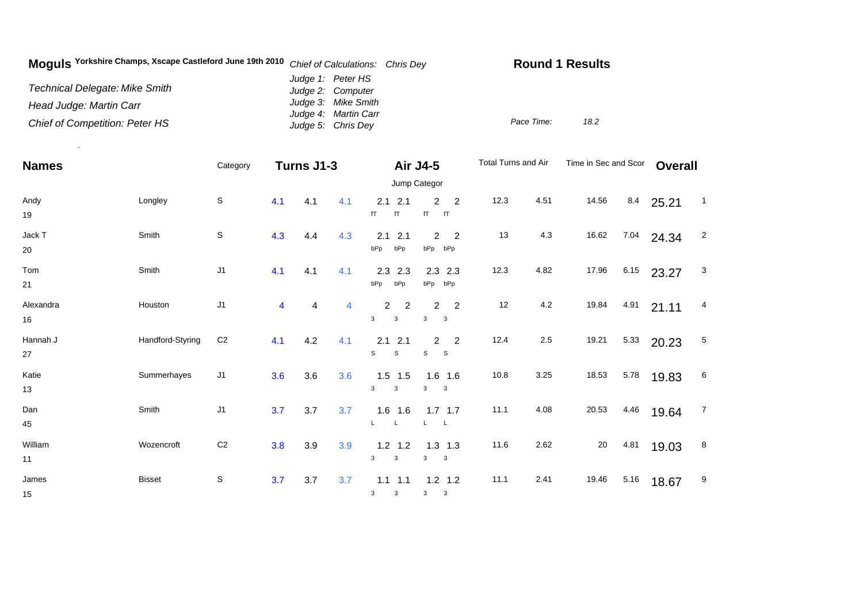| Moguls Yorkshire Champs, Xscape Castleford June 19th 2010 | Chief of Calculations: Chris Dey            | <b>Round 1 Results</b> |
|-----------------------------------------------------------|---------------------------------------------|------------------------|
| <b>Technical Delegate: Mike Smith</b>                     | Judge 1: Peter HS<br>Judge 2: Computer      |                        |
| Head Judge: Martin Carr                                   | Judge 3: Mike Smith<br>Judge 4: Martin Carr |                        |
| <b>Chief of Competition: Peter HS</b>                     | Judge 5: Chris Dey                          | 18.2<br>Pace Time:     |

.

| <b>Names</b>    |                  | Category       | Turns J1-3              |     |     | Air J4-5<br>Jump Categor                 |                                                                | Total Turns and Air |      | Time in Sec and Scor |      | <b>Overall</b> |                 |
|-----------------|------------------|----------------|-------------------------|-----|-----|------------------------------------------|----------------------------------------------------------------|---------------------|------|----------------------|------|----------------|-----------------|
| Andy<br>19      | Longley          | $\mathsf S$    | 4.1                     | 4.1 | 4.1 | 2.1<br>2.1<br>fT<br>fT                   | 2<br>$\overline{2}$<br>fT<br>fT                                | 12.3                | 4.51 | 14.56                | 8.4  | 25.21          | $\overline{1}$  |
| Jack T<br>20    | Smith            | $\mathsf S$    | 4.3                     | 4.4 | 4.3 | 2.1<br>2.1<br>bPp<br>bPp                 | $\overline{2}$<br>$\overline{2}$<br>bPp bPp                    | 13                  | 4.3  | 16.62                | 7.04 | 24.34          | $\overline{2}$  |
| Tom<br>21       | Smith            | J1             | 4.1                     | 4.1 | 4.1 | 2.3<br>2.3<br>bPp<br>bPp                 | $2.3$ 2.3<br>bPp bPp                                           | 12.3                | 4.82 | 17.96                | 6.15 | 23.27          | 3               |
| Alexandra<br>16 | Houston          | J1             | $\overline{\mathbf{4}}$ | 4   | 4   | $\overline{2}$<br>2<br>3<br>3            | 2<br>$\overline{2}$<br>$\mathbf{3}$<br>$\overline{\mathbf{3}}$ | 12                  | 4.2  | 19.84                | 4.91 | 21.11          | 4               |
| Hannah J<br>27  | Handford-Styring | C <sub>2</sub> | 4.1                     | 4.2 | 4.1 | 2.1<br>2.1<br>$\mathbb S$<br>$\mathbb S$ | $\overline{2}$<br>$\overline{2}$<br>s<br>$\mathbf{s}$          | 12.4                | 2.5  | 19.21                | 5.33 | 20.23          | 5               |
| Katie<br>13     | Summerhayes      | J1             | 3.6                     | 3.6 | 3.6 | $1.5$ 1.5<br>3<br>3                      | $1.6$ 1.6<br>3<br>$\overline{\mathbf{3}}$                      | 10.8                | 3.25 | 18.53                | 5.78 | 19.83          | $6\phantom{.}6$ |
| Dan<br>45       | Smith            | J1             | 3.7                     | 3.7 | 3.7 | $1.6$ 1.6                                | $1.7$ 1.7<br>L<br>L.                                           | 11.1                | 4.08 | 20.53                | 4.46 | 19.64          | $\overline{7}$  |
| William<br>11   | Wozencroft       | C <sub>2</sub> | 3.8                     | 3.9 | 3.9 | $1.2$ 1.2<br>3<br>3                      | $1.3$ 1.3<br>3<br>$\mathbf{3}$                                 | 11.6                | 2.62 | 20                   | 4.81 | 19.03          | 8               |
| James<br>15     | <b>Bisset</b>    | S              | 3.7                     | 3.7 | 3.7 | $1.1 \quad 1.1$<br>3<br>3                | $1.2$ 1.2<br>3<br>3                                            | 11.1                | 2.41 | 19.46                | 5.16 | 18.67          | 9               |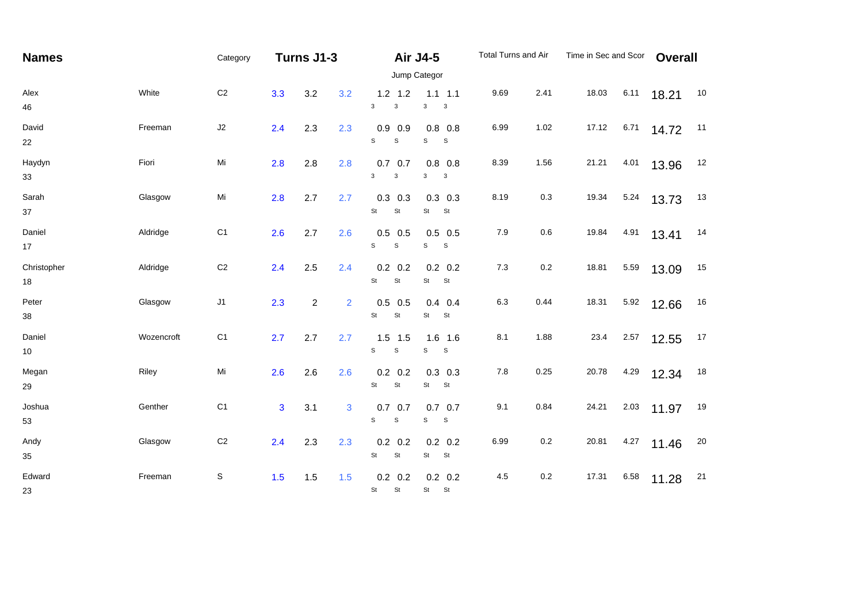| <b>Names</b>      |            | Category       |                |                |     | Total Turns and Air<br>Turns J1-3<br><b>Air J4-5</b> |                                                 |       |         |       | Time in Sec and Scor |       | <b>Overall</b> |  |
|-------------------|------------|----------------|----------------|----------------|-----|------------------------------------------------------|-------------------------------------------------|-------|---------|-------|----------------------|-------|----------------|--|
|                   |            |                |                |                |     |                                                      | Jump Categor                                    |       |         |       |                      |       |                |  |
| Alex<br>46        | White      | C <sub>2</sub> | 3.3            | 3.2            | 3.2 | $1.2$ 1.2<br>3<br>3                                  | $1.1 \quad 1.1$<br>$\mathbf{3}$<br>$\mathbf{3}$ | 9.69  | 2.41    | 18.03 | 6.11                 | 18.21 | 10             |  |
| David<br>22       | Freeman    | J2             | 2.4            | 2.3            | 2.3 | $0.9$ 0.9<br>$\mathsf{s}$<br>S                       | $0.8$ 0.8<br>s<br>$\mathbf{s}$                  | 6.99  | 1.02    | 17.12 | 6.71                 | 14.72 | 11             |  |
| Haydyn<br>33      | Fiori      | Mi             | 2.8            | 2.8            | 2.8 | 0.7<br>0.7<br>$\mathbf{3}$<br>$\mathsf 3$            | $0.8$ 0.8<br>3<br>$\mathbf{3}$                  | 8.39  | 1.56    | 21.21 | 4.01                 | 13.96 | 12             |  |
| Sarah<br>37       | Glasgow    | Mi             | 2.8            | 2.7            | 2.7 | $0.3$ 0.3<br>St<br>St                                | $0.3$ 0.3<br>St<br>St                           | 8.19  | $0.3\,$ | 19.34 | 5.24                 | 13.73 | 13             |  |
| Daniel<br>17      | Aldridge   | C <sub>1</sub> | 2.6            | 2.7            | 2.6 | $0.5$ 0.5<br>$\mathsf{s}$<br>$\mathsf{s}$            | $0.5$ 0.5<br>s<br>S                             | 7.9   | $0.6\,$ | 19.84 | 4.91                 | 13.41 | 14             |  |
| Christopher<br>18 | Aldridge   | C <sub>2</sub> | 2.4            | 2.5            | 2.4 | $0.2\ 0.2$<br>St<br>St                               | $0.2\ 0.2$<br>St<br>St                          | $7.3$ | $0.2\,$ | 18.81 | 5.59                 | 13.09 | 15             |  |
| Peter<br>$38\,$   | Glasgow    | J1             | 2.3            | $\overline{2}$ | 2   | $0.5$ 0.5<br>St<br>St                                | $0.4$ 0.4<br>St<br>St                           | 6.3   | 0.44    | 18.31 | 5.92                 | 12.66 | 16             |  |
| Daniel<br>$10\,$  | Wozencroft | C <sub>1</sub> | 2.7            | 2.7            | 2.7 | $1.5$ 1.5<br>$\mathbb S$<br>S                        | $1.6$ 1.6<br>$\mathbb S$<br>s                   | 8.1   | 1.88    | 23.4  | 2.57                 | 12.55 | 17             |  |
| Megan<br>29       | Riley      | Mi             | 2.6            | 2.6            | 2.6 | $0.2\ 0.2$<br>St<br>St                               | $0.3$ 0.3<br>St St                              | 7.8   | 0.25    | 20.78 | 4.29                 | 12.34 | 18             |  |
| Joshua<br>53      | Genther    | C <sub>1</sub> | $\overline{3}$ | 3.1            | 3   | $0.7$ 0.7<br>S<br>S                                  | $0.7\quad 0.7$<br>S<br>S                        | 9.1   | 0.84    | 24.21 | 2.03                 | 11.97 | 19             |  |
| Andy<br>35        | Glasgow    | C <sub>2</sub> | 2.4            | 2.3            | 2.3 | $0.2$ 0.2<br>St<br>St                                | $0.2 \quad 0.2$<br>St<br>St                     | 6.99  | $0.2\,$ | 20.81 | 4.27                 | 11.46 | 20             |  |
| Edward<br>23      | Freeman    | $\mathbb S$    | 1.5            | 1.5            | 1.5 | $0.2\ 0.2$<br>St<br>St                               | $0.2\ 0.2$<br>St St                             | 4.5   | 0.2     | 17.31 | 6.58                 | 11.28 | 21             |  |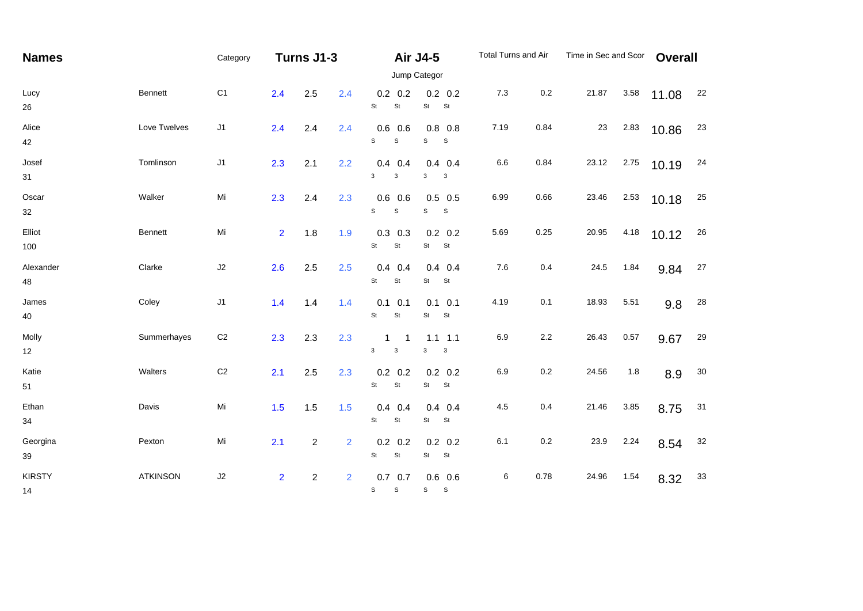| <b>Names</b>        |                 | Turns J1-3<br>Category |                |                  |                | <b>Air J4-5</b>                              |                                 | Total Turns and Air | Time in Sec and Scor |       | <b>Overall</b> |       |            |
|---------------------|-----------------|------------------------|----------------|------------------|----------------|----------------------------------------------|---------------------------------|---------------------|----------------------|-------|----------------|-------|------------|
|                     |                 |                        |                |                  |                |                                              | Jump Categor                    |                     |                      |       |                |       |            |
| Lucy<br>26          | Bennett         | C <sub>1</sub>         | 2.4            | 2.5              | 2.4            | $0.2\quad 0.2$<br>St<br>St                   | $0.2 \quad 0.2$<br>St<br>St     | 7.3                 | 0.2                  | 21.87 | 3.58           | 11.08 | 22         |
| Alice<br>42         | Love Twelves    | J1                     | 2.4            | 2.4              | 2.4            | $0.6$ 0.6<br>S<br>$\mathbf S$                | $0.8$ 0.8<br>S<br>$\mathbb S$   | 7.19                | 0.84                 | 23    | 2.83           | 10.86 | 23         |
| Josef<br>31         | Tomlinson       | J1                     | 2.3            | 2.1              | 2.2            | $0.4$ 0.4<br>3<br>3                          | $0.4$ 0.4<br>3<br>3             | 6.6                 | 0.84                 | 23.12 | 2.75           | 10.19 | 24         |
| Oscar<br>32         | Walker          | Mi                     | 2.3            | $2.4\,$          | 2.3            | $0.6$ 0.6<br>S<br>$\mathbf S$                | $0.5$ 0.5<br>S<br>$\mathsf S$   | 6.99                | 0.66                 | 23.46 | 2.53           | 10.18 | 25         |
| Elliot<br>100       | Bennett         | Mi                     | 2 <sup>1</sup> | 1.8              | 1.9            | $0.3$ 0.3<br>St<br>St                        | $0.2 \quad 0.2$<br>St<br>St     | 5.69                | 0.25                 | 20.95 | 4.18           | 10.12 | 26         |
| Alexander<br>48     | Clarke          | J2                     | 2.6            | 2.5              | 2.5            | $0.4$ 0.4<br>St<br>St                        | $0.4$ 0.4<br>St<br><b>St</b>    | 7.6                 | 0.4                  | 24.5  | 1.84           | 9.84  | 27         |
| James<br>40         | Coley           | J1                     | 1.4            | 1.4              | 1.4            | $0.1 \quad 0.1$<br>St<br>$\mathsf{St}$       | $0.1 \quad 0.1$<br>St<br>St     | 4.19                | 0.1                  | 18.93 | 5.51           | 9.8   | ${\bf 28}$ |
| Molly<br>12         | Summerhayes     | C <sub>2</sub>         | 2.3            | 2.3              | 2.3            | 1<br>3<br>$\mathsf 3$                        | $1.1$ 1.1<br>3<br>$\mathbf{3}$  | 6.9                 | $2.2\,$              | 26.43 | 0.57           | 9.67  | 29         |
| Katie<br>51         | Walters         | C <sub>2</sub>         | 2.1            | 2.5              | 2.3            | $0.2$ 0.2<br>$\mathsf{St}$<br>St             | $0.2 \quad 0.2$<br>St St        | 6.9                 | 0.2                  | 24.56 | 1.8            | 8.9   | 30         |
| Ethan<br>34         | Davis           | Mi                     | 1.5            | 1.5              | 1.5            | $0.4$ 0.4<br>St<br>St                        | $0.4$ 0.4<br>St<br>St           | 4.5                 | 0.4                  | 21.46 | 3.85           | 8.75  | 31         |
| Georgina<br>$39\,$  | Pexton          | Mi                     | 2.1            | $\overline{c}$   | $\overline{2}$ | $0.2$ 0.2<br>St<br>St                        | $0.2 \quad 0.2$<br>St<br>St     | 6.1                 | $0.2\,$              | 23.9  | 2.24           | 8.54  | 32         |
| <b>KIRSTY</b><br>14 | <b>ATKINSON</b> | $\sf J2$               | $\overline{2}$ | $\boldsymbol{2}$ | $\overline{2}$ | $0.7\quad 0.7$<br>$\mathbb S$<br>$\mathbb S$ | $0.6\ 0.6$<br>S<br>$\mathbf{s}$ | 6                   | 0.78                 | 24.96 | 1.54           | 8.32  | $33\,$     |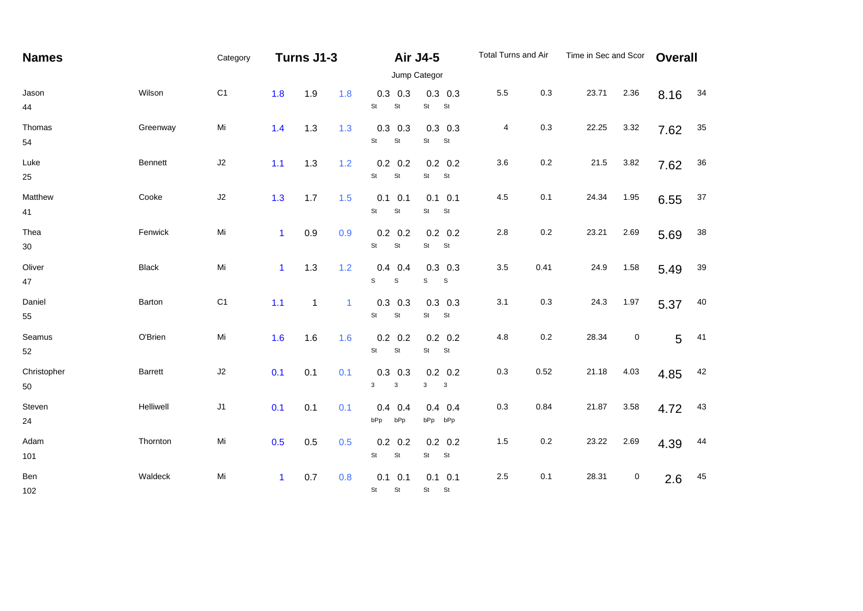| <b>Names</b>            |              | Category       | Turns J1-3   |              |              |                                          | <b>Air J4-5</b>                                 | Total Turns and Air |         | Time in Sec and Scor |           | <b>Overall</b> |        |
|-------------------------|--------------|----------------|--------------|--------------|--------------|------------------------------------------|-------------------------------------------------|---------------------|---------|----------------------|-----------|----------------|--------|
|                         |              |                |              |              |              |                                          | Jump Categor                                    |                     |         |                      |           |                |        |
| Jason<br>44             | Wilson       | C <sub>1</sub> | 1.8          | 1.9          | 1.8          | $0.3$ 0.3<br>St<br>St                    | $0.3$ 0.3<br>St<br>St                           | 5.5                 | 0.3     | 23.71                | 2.36      | 8.16           | 34     |
| Thomas<br>54            | Greenway     | Mi             | 1.4          | 1.3          | 1.3          | $0.3$ 0.3<br>St<br>St                    | $0.3$ 0.3<br>St<br>St                           | 4                   | 0.3     | 22.25                | 3.32      | 7.62           | $35\,$ |
| Luke<br>25              | Bennett      | $\sf J2$       | 1.1          | 1.3          | 1.2          | $0.2$ 0.2<br>St<br>St                    | $0.2 \quad 0.2$<br>St<br>St                     | 3.6                 | $0.2\,$ | 21.5                 | 3.82      | 7.62           | $36\,$ |
| Matthew<br>41           | Cooke        | $\sf J2$       | 1.3          | 1.7          | 1.5          | 0.1<br>0.1<br>St<br>St                   | $0.1$ 0.1<br>St<br>St                           | 4.5                 | 0.1     | 24.34                | 1.95      | 6.55           | $37\,$ |
| Thea<br>30 <sub>o</sub> | Fenwick      | Mi             | $\mathbf{1}$ | 0.9          | 0.9          | $0.2\quad 0.2$<br>St<br>St               | $0.2\quad 0.2$<br>St<br>St                      | 2.8                 | 0.2     | 23.21                | 2.69      | 5.69           | $38\,$ |
| Oliver<br>47            | <b>Black</b> | Mi             | $\mathbf{1}$ | 1.3          | 1.2          | $0.4$ 0.4<br>S<br>$\mathsf S$            | $0.3$ 0.3<br>$\mathsf S$<br>S                   | $3.5\,$             | 0.41    | 24.9                 | 1.58      | 5.49           | 39     |
| Daniel<br>55            | Barton       | C <sub>1</sub> | 1.1          | $\mathbf{1}$ | $\mathbf{1}$ | $0.3$ 0.3<br>$\mathsf{St}$<br>St         | $0.3$ 0.3<br>St<br><b>St</b>                    | 3.1                 | 0.3     | 24.3                 | 1.97      | 5.37           | 40     |
| Seamus<br>52            | O'Brien      | Mi             | 1.6          | 1.6          | 1.6          | $0.2\ 0.2$<br>St<br>St                   | $0.2 \quad 0.2$<br>St<br>St                     | 4.8                 | $0.2\,$ | 28.34                | 0         | 5              | 41     |
| Christopher<br>50       | Barrett      | J2             | 0.1          | 0.1          | 0.1          | $0.3$ 0.3<br>$\mathbf{3}$<br>$\mathsf 3$ | $0.2 \quad 0.2$<br>3<br>$\overline{\mathbf{3}}$ | $0.3\,$             | 0.52    | 21.18                | 4.03      | 4.85           | 42     |
| Steven<br>24            | Helliwell    | $\sf J1$       | 0.1          | 0.1          | 0.1          | 0.4<br>0.4<br>bPp<br>bPp                 | $0.4$ 0.4<br>bPp bPp                            | $0.3\,$             | 0.84    | 21.87                | 3.58      | 4.72           | 43     |
| Adam<br>101             | Thornton     | Mi             | 0.5          | 0.5          | 0.5          | 0.2<br>0.2<br>$\mathsf{St}$<br>St        | $0.2 \quad 0.2$<br>St<br>St                     | 1.5                 | $0.2\,$ | 23.22                | 2.69      | 4.39           | 44     |
| Ben<br>102              | Waldeck      | Mi             | $\mathbf{1}$ | 0.7          | 0.8          | 0.1<br>0.1<br>St<br>St                   | $0.1$ 0.1<br>St St                              | $2.5\,$             | 0.1     | 28.31                | $\pmb{0}$ | 2.6            | 45     |